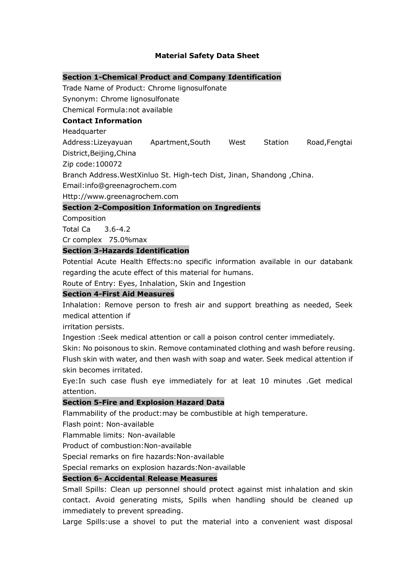# **Material Safety Data Sheet**

#### **Section 1-Chemical Product and Company Identification**

Trade Name of Product: Chrome lignosulfonate

Synonym: Chrome lignosulfonate

Chemical Formula:not available

### **Contact Information**

**Headquarter** 

Address:Lizeyayuan Apartment,South West Station Road,Fengtai

District,Beijing,China

Zip code:100072

Branch Address.WestXinluo St. High-tech Dist, Jinan, Shandong ,China.

Email:info@greenagrochem.com

Http://www.greenagrochem.com

#### **Section 2-Composition Information on Ingredients**

**Composition** 

Total Ca 3.6-4.2

Cr complex 75.0%max

### **Section 3-Hazards Identification**

Potential Acute Health Effects:no specific information available in our databank regarding the acute effect of this material for humans.

Route of Entry: Eyes, Inhalation, Skin and Ingestion

### **Section 4-First Aid Measures**

Inhalation: Remove person to fresh air and support breathing as needed, Seek medical attention if

irritation persists.

Ingestion :Seek medical attention or call a poison control center immediately.

Skin: No poisonous to skin. Remove contaminated clothing and wash before reusing. Flush skin with water, and then wash with soap and water. Seek medical attention if skin becomes irritated.

Eye:In such case flush eye immediately for at leat 10 minutes .Get medical attention.

#### **Section 5-Fire and Explosion Hazard Data**

Flammability of the product:may be combustible at high temperature.

Flash point: Non-available

Flammable limits: Non-available

Product of combustion:Non-available

Special remarks on fire hazards:Non-available

Special remarks on explosion hazards:Non-available

### **Section 6- Accidental Release Measures**

Small Spills: Clean up personnel should protect against mist inhalation and skin contact. Avoid generating mists, Spills when handling should be cleaned up immediately to prevent spreading.

Large Spills:use a shovel to put the material into a convenient wast disposal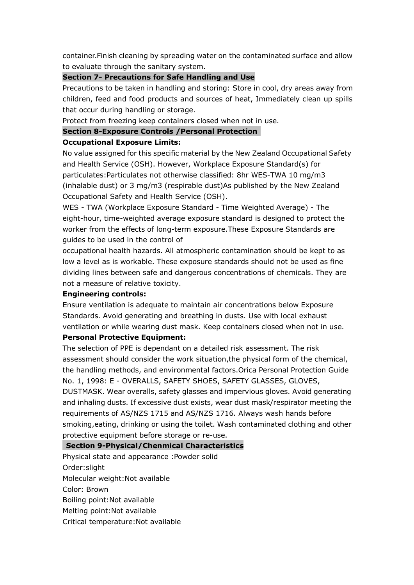container.Finish cleaning by spreading water on the contaminated surface and allow to evaluate through the sanitary system.

### **Section 7- Precautions for Safe Handling and Use**

Precautions to be taken in handling and storing: Store in cool, dry areas away from children, feed and food products and sources of heat, Immediately clean up spills that occur during handling or storage.

Protect from freezing keep containers closed when not in use.

# **Section 8-Exposure Controls /Personal Protection**

### **Occupational Exposure Limits:**

No value assigned for this specific material by the New Zealand Occupational Safety and Health Service (OSH). However, Workplace Exposure Standard(s) for particulates:Particulates not otherwise classified: 8hr WES-TWA 10 mg/m3 (inhalable dust) or 3 mg/m3 (respirable dust)As published by the New Zealand Occupational Safety and Health Service (OSH).

WES - TWA (Workplace Exposure Standard - Time Weighted Average) - The eight-hour, time-weighted average exposure standard is designed to protect the worker from the effects of long-term exposure.These Exposure Standards are guides to be used in the control of

occupational health hazards. All atmospheric contamination should be kept to as low a level as is workable. These exposure standards should not be used as fine dividing lines between safe and dangerous concentrations of chemicals. They are not a measure of relative toxicity.

#### **Engineering controls:**

Ensure ventilation is adequate to maintain air concentrations below Exposure Standards. Avoid generating and breathing in dusts. Use with local exhaust ventilation or while wearing dust mask. Keep containers closed when not in use.

# **Personal Protective Equipment:**

The selection of PPE is dependant on a detailed risk assessment. The risk assessment should consider the work situation,the physical form of the chemical, the handling methods, and environmental factors.Orica Personal Protection Guide No. 1, 1998: E - OVERALLS, SAFETY SHOES, SAFETY GLASSES, GLOVES,

DUSTMASK. Wear overalls, safety glasses and impervious gloves. Avoid generating and inhaling dusts. If excessive dust exists, wear dust mask/respirator meeting the requirements of AS/NZS 1715 and AS/NZS 1716. Always wash hands before smoking,eating, drinking or using the toilet. Wash contaminated clothing and other protective equipment before storage or re-use.

#### **Section 9-Physical/Chenmical Characteristics**

Physical state and appearance :Powder solid Order:slight Molecular weight:Not available Color: Brown Boiling point:Not available Melting point:Not available Critical temperature:Not available